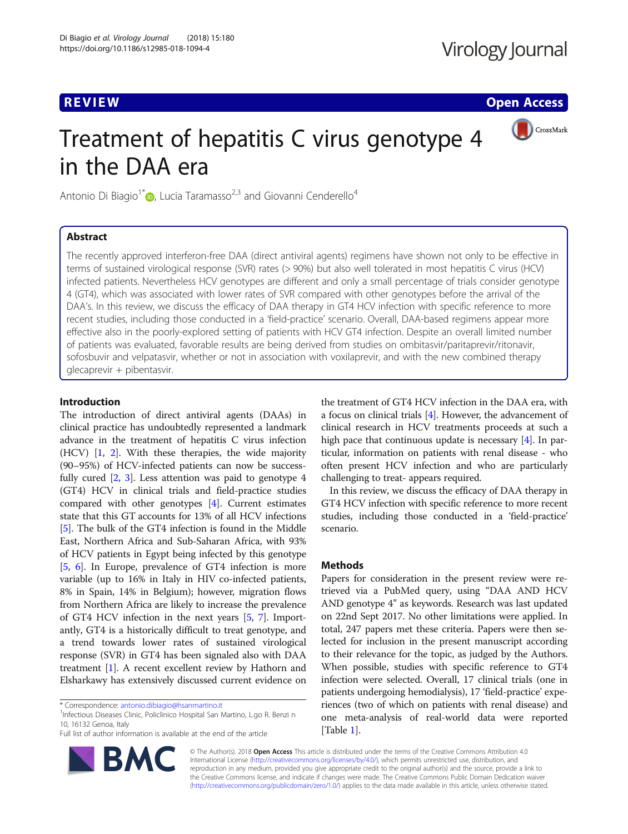**REVIEW CONTROL** REVIEW CONTROL CONTROL CONTROL CONTROL CONTROL CONTROL CONTROL CONTROL CONTROL CONTROL CONTROL CONTROL CONTROL CONTROL CONTROL CONTROL CONTROL CONTROL CONTROL CONTROL CONTROL CONTROL CONTROL CONTROL CONTRO

CrossMark

# Treatment of hepatitis C virus genotype 4 in the DAA era

Antonio Di Biagio<sup>1\*</sup>  $\bullet$ [,](http://orcid.org/0000-0003-1436-5089) Lucia Taramasso<sup>2,3</sup> and Giovanni Cenderello<sup>4</sup>

## Abstract

The recently approved interferon-free DAA (direct antiviral agents) regimens have shown not only to be effective in terms of sustained virological response (SVR) rates (> 90%) but also well tolerated in most hepatitis C virus (HCV) infected patients. Nevertheless HCV genotypes are different and only a small percentage of trials consider genotype 4 (GT4), which was associated with lower rates of SVR compared with other genotypes before the arrival of the DAA's. In this review, we discuss the efficacy of DAA therapy in GT4 HCV infection with specific reference to more recent studies, including those conducted in a 'field-practice' scenario. Overall, DAA-based regimens appear more effective also in the poorly-explored setting of patients with HCV GT4 infection. Despite an overall limited number of patients was evaluated, favorable results are being derived from studies on ombitasvir/paritaprevir/ritonavir, sofosbuvir and velpatasvir, whether or not in association with voxilaprevir, and with the new combined therapy glecaprevir + pibentasvir.

#### Introduction

The introduction of direct antiviral agents (DAAs) in clinical practice has undoubtedly represented a landmark advance in the treatment of hepatitis C virus infection (HCV) [[1](#page-6-0), [2\]](#page-6-0). With these therapies, the wide majority (90–95%) of HCV-infected patients can now be successfully cured  $[2, 3]$  $[2, 3]$  $[2, 3]$  $[2, 3]$  $[2, 3]$ . Less attention was paid to genotype 4 (GT4) HCV in clinical trials and field-practice studies compared with other genotypes [[4](#page-6-0)]. Current estimates state that this GT accounts for 13% of all HCV infections [[5\]](#page-6-0). The bulk of the GT4 infection is found in the Middle East, Northern Africa and Sub-Saharan Africa, with 93% of HCV patients in Egypt being infected by this genotype [[5,](#page-6-0) [6](#page-6-0)]. In Europe, prevalence of GT4 infection is more variable (up to 16% in Italy in HIV co-infected patients, 8% in Spain, 14% in Belgium); however, migration flows from Northern Africa are likely to increase the prevalence of GT4 HCV infection in the next years [[5,](#page-6-0) [7\]](#page-6-0). Importantly, GT4 is a historically difficult to treat genotype, and a trend towards lower rates of sustained virological response (SVR) in GT4 has been signaled also with DAA treatment [[1\]](#page-6-0). A recent excellent review by Hathorn and Elsharkawy has extensively discussed current evidence on

<sup>1</sup>Infectious Diseases Clinic, Policlinico Hospital San Martino, L.go R. Benzi n 10, 16132 Genoa, Italy

Full list of author information is available at the end of the article



the treatment of GT4 HCV infection in the DAA era, with a focus on clinical trials [\[4\]](#page-6-0). However, the advancement of clinical research in HCV treatments proceeds at such a high pace that continuous update is necessary [\[4](#page-6-0)]. In particular, information on patients with renal disease - who often present HCV infection and who are particularly challenging to treat- appears required.

In this review, we discuss the efficacy of DAA therapy in GT4 HCV infection with specific reference to more recent studies, including those conducted in a 'field-practice' scenario.

#### Methods

Papers for consideration in the present review were retrieved via a PubMed query, using "DAA AND HCV AND genotype 4" as keywords. Research was last updated on 22nd Sept 2017. No other limitations were applied. In total, 247 papers met these criteria. Papers were then selected for inclusion in the present manuscript according to their relevance for the topic, as judged by the Authors. When possible, studies with specific reference to GT4 infection were selected. Overall, 17 clinical trials (one in patients undergoing hemodialysis), 17 'field-practice' experiences (two of which on patients with renal disease) and one meta-analysis of real-world data were reported [Table [1\]](#page-1-0).

© The Author(s). 2018 Open Access This article is distributed under the terms of the Creative Commons Attribution 4.0 International License [\(http://creativecommons.org/licenses/by/4.0/](http://creativecommons.org/licenses/by/4.0/)), which permits unrestricted use, distribution, and reproduction in any medium, provided you give appropriate credit to the original author(s) and the source, provide a link to the Creative Commons license, and indicate if changes were made. The Creative Commons Public Domain Dedication waiver [\(http://creativecommons.org/publicdomain/zero/1.0/](http://creativecommons.org/publicdomain/zero/1.0/)) applies to the data made available in this article, unless otherwise stated.

<sup>\*</sup> Correspondence: [antonio.dibiagio@hsanmartino.it](mailto:antonio.dibiagio@hsanmartino.it) <sup>1</sup>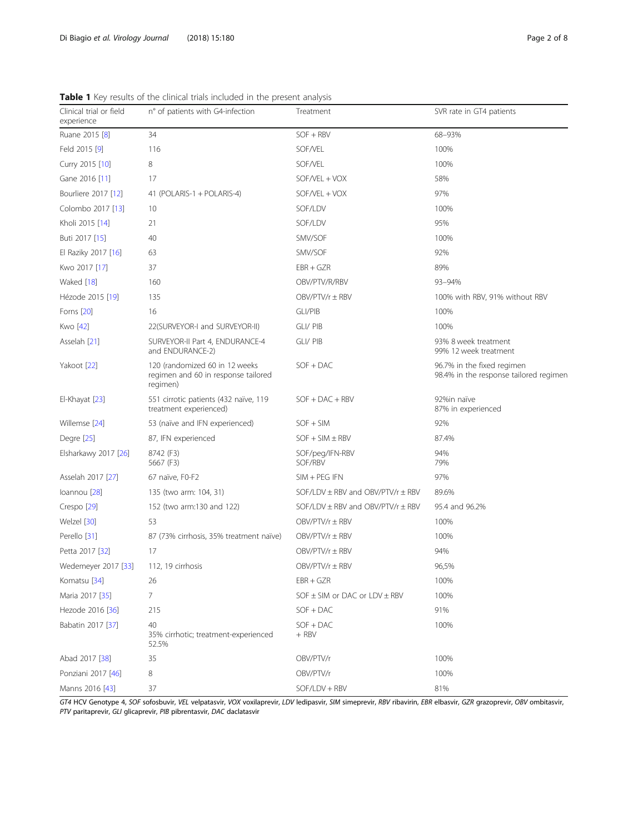| Clinical trial or field<br>experience | n° of patients with G4-infection                                                  | Treatment                                 | SVR rate in GT4 patients                                             |
|---------------------------------------|-----------------------------------------------------------------------------------|-------------------------------------------|----------------------------------------------------------------------|
| Ruane 2015 [8]                        | 34                                                                                | SOF + RBV                                 | 68-93%                                                               |
| Feld 2015 [9]                         | 116                                                                               | SOF/VEL                                   | 100%                                                                 |
| Curry 2015 [10]                       | 8                                                                                 | SOF/VEL                                   | 100%                                                                 |
| Gane 2016 [11]                        | 17                                                                                | SOF/VEL + VOX                             | 58%                                                                  |
| Bourliere 2017 [12]                   | 41 (POLARIS-1 + POLARIS-4)                                                        | SOF/VEL + VOX                             | 97%                                                                  |
| Colombo 2017 [13]                     | 10                                                                                | SOF/LDV                                   | 100%                                                                 |
| Kholi 2015 [14]                       | 21                                                                                | SOF/LDV                                   | 95%                                                                  |
| Buti 2017 [15]                        | 40                                                                                | SMV/SOF                                   | 100%                                                                 |
| El Raziky 2017 [16]                   | 63                                                                                | SMV/SOF                                   | 92%                                                                  |
| Kwo 2017 [17]                         | 37                                                                                | $EBR + GZR$                               | 89%                                                                  |
| Waked [18]                            | 160                                                                               | OBV/PTV/R/RBV                             | 93-94%                                                               |
| Hézode 2015 [19]                      | 135                                                                               | $OBV/PTV/r \pm RBV$                       | 100% with RBV, 91% without RBV                                       |
| Forns [20]                            | 16                                                                                | GLI/PIB                                   | 100%                                                                 |
| Kwo [42]                              | 22(SURVEYOR-I and SURVEYOR-II)                                                    | GLI/ PIB                                  | 100%                                                                 |
| Asselah [21]                          | SURVEYOR-II Part 4, ENDURANCE-4<br>and ENDURANCE-2)                               | GLI/ PIB                                  | 93% 8 week treatment<br>99% 12 week treatment                        |
| Yakoot [22]                           | 120 (randomized 60 in 12 weeks<br>regimen and 60 in response tailored<br>regimen) | $SOF + DAC$                               | 96.7% in the fixed regimen<br>98.4% in the response tailored regimen |
| El-Khayat [23]                        | 551 cirrotic patients (432 naïve, 119<br>treatment experienced)                   | $SOF + DAC + RBV$                         | 92%in naïve<br>87% in experienced                                    |
| Willemse [24]                         | 53 (naïve and IFN experienced)                                                    | $SOF + SIM$                               | 92%                                                                  |
| Degre [25]                            | 87, IFN experienced                                                               | $SOF + SIM \pm RBV$                       | 87.4%                                                                |
| Elsharkawy 2017 [26]                  | 8742 (F3)<br>5667 (F3)                                                            | SOF/peg/IFN-RBV<br>SOF/RBV                | 94%<br>79%                                                           |
| Asselah 2017 [27]                     | 67 naïve, F0-F2                                                                   | $SIM + PEG$ IFN                           | 97%                                                                  |
| loannou [28]                          | 135 (two arm: 104, 31)                                                            | SOF/LDV $\pm$ RBV and OBV/PTV/r $\pm$ RBV | 89.6%                                                                |
| Crespo <sup>[29]</sup>                | 152 (two arm:130 and 122)                                                         | SOF/LDV $\pm$ RBV and OBV/PTV/r $\pm$ RBV | 95.4 and 96.2%                                                       |
| Welzel [30]                           | 53                                                                                | $OBV/PTV/r \pm RBV$                       | 100%                                                                 |
| Perello [31]                          | 87 (73% cirrhosis, 35% treatment naïve)                                           | $OBV/PTV/r \pm RBV$                       | 100%                                                                 |
| Petta 2017 [32]                       | 17                                                                                | OBV/PTV/r ± RBV                           | 94%                                                                  |
| Wedemeyer 2017 [33]                   | 112, 19 cirrhosis                                                                 | $OBV/PTV/r \pm RBV$                       | 96,5%                                                                |
| Komatsu [34]                          | 26                                                                                | $EBR + GZR$                               | 100%                                                                 |
| Maria 2017 [35]                       | 7                                                                                 | SOF $\pm$ SIM or DAC or LDV $\pm$ RBV     | 100%                                                                 |
| Hezode 2016 [36]                      | 215                                                                               | $SOF + DAC$                               | 91%                                                                  |
| Babatin 2017 [37]                     | 40<br>35% cirrhotic: treatment-experienced<br>52.5%                               | $SOF + DAC$<br>$+$ RBV                    | 100%                                                                 |
| Abad 2017 [38]                        | 35                                                                                | OBV/PTV/r                                 | 100%                                                                 |
| Ponziani 2017 [46]                    | 8                                                                                 | OBV/PTV/r                                 | 100%                                                                 |

<span id="page-1-0"></span>Table 1 Key results of the clinical trials included in the present analysis

GT4 HCV Genotype 4, SOF sofosbuvir, VEL velpatasvir, VOX voxilaprevir, LDV ledipasvir, SIM simeprevir, RBV ribavirin, EBR elbasvir, GZR grazoprevir, OBV ombitasvir, PTV paritaprevir, GLI glicaprevir, PIB pibrentasvir, DAC daclatasvir

Manns 2016 [[43\]](#page-7-0) 37 37 SOF/LDV + RBV 81%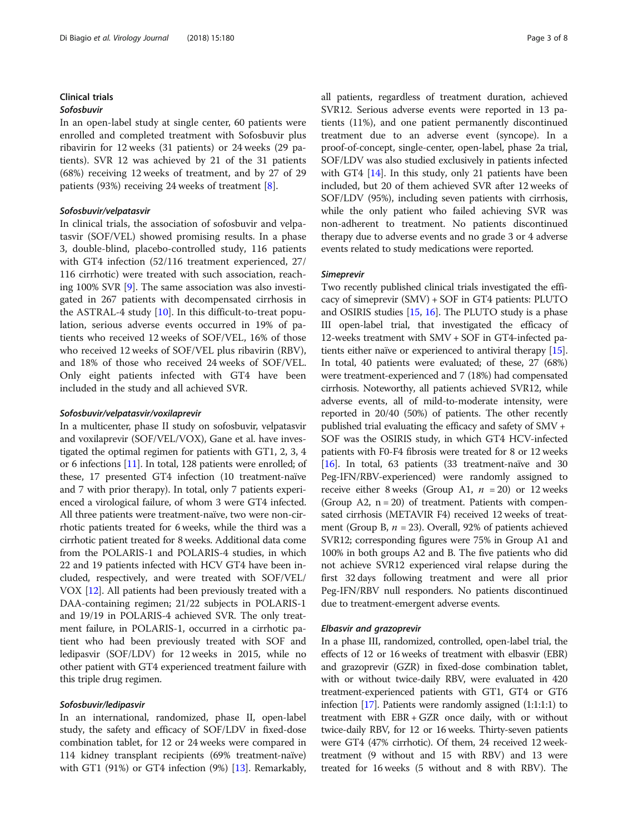#### Clinical trials Sofosbuvir

In an open-label study at single center, 60 patients were enrolled and completed treatment with Sofosbuvir plus ribavirin for 12 weeks (31 patients) or 24 weeks (29 patients). SVR 12 was achieved by 21 of the 31 patients (68%) receiving 12 weeks of treatment, and by 27 of 29 patients (93%) receiving 24 weeks of treatment [[8\]](#page-6-0).

#### Sofosbuvir/velpatasvir

In clinical trials, the association of sofosbuvir and velpatasvir (SOF/VEL) showed promising results. In a phase 3, double-blind, placebo-controlled study, 116 patients with GT4 infection (52/116 treatment experienced, 27/ 116 cirrhotic) were treated with such association, reaching 100% SVR [[9](#page-6-0)]. The same association was also investigated in 267 patients with decompensated cirrhosis in the ASTRAL-4 study [[10\]](#page-6-0). In this difficult-to-treat population, serious adverse events occurred in 19% of patients who received 12 weeks of SOF/VEL, 16% of those who received 12 weeks of SOF/VEL plus ribavirin (RBV), and 18% of those who received 24 weeks of SOF/VEL. Only eight patients infected with GT4 have been included in the study and all achieved SVR.

#### Sofosbuvir/velpatasvir/voxilaprevir

In a multicenter, phase II study on sofosbuvir, velpatasvir and voxilaprevir (SOF/VEL/VOX), Gane et al. have investigated the optimal regimen for patients with GT1, 2, 3, 4 or 6 infections [\[11](#page-6-0)]. In total, 128 patients were enrolled; of these, 17 presented GT4 infection (10 treatment-naïve and 7 with prior therapy). In total, only 7 patients experienced a virological failure, of whom 3 were GT4 infected. All three patients were treatment-naïve, two were non-cirrhotic patients treated for 6 weeks, while the third was a cirrhotic patient treated for 8 weeks. Additional data come from the POLARIS-1 and POLARIS-4 studies, in which 22 and 19 patients infected with HCV GT4 have been included, respectively, and were treated with SOF/VEL/ VOX [[12](#page-6-0)]. All patients had been previously treated with a DAA-containing regimen; 21/22 subjects in POLARIS-1 and 19/19 in POLARIS-4 achieved SVR. The only treatment failure, in POLARIS-1, occurred in a cirrhotic patient who had been previously treated with SOF and ledipasvir (SOF/LDV) for 12 weeks in 2015, while no other patient with GT4 experienced treatment failure with this triple drug regimen.

#### Sofosbuvir/ledipasvir

In an international, randomized, phase II, open-label study, the safety and efficacy of SOF/LDV in fixed-dose combination tablet, for 12 or 24 weeks were compared in 114 kidney transplant recipients (69% treatment-naïve) with GT1 (91%) or GT4 infection (9%) [\[13\]](#page-6-0). Remarkably, all patients, regardless of treatment duration, achieved SVR12. Serious adverse events were reported in 13 patients (11%), and one patient permanently discontinued treatment due to an adverse event (syncope). In a proof-of-concept, single-center, open-label, phase 2a trial, SOF/LDV was also studied exclusively in patients infected with GT4 [\[14](#page-6-0)]. In this study, only 21 patients have been included, but 20 of them achieved SVR after 12 weeks of SOF/LDV (95%), including seven patients with cirrhosis, while the only patient who failed achieving SVR was non-adherent to treatment. No patients discontinued therapy due to adverse events and no grade 3 or 4 adverse events related to study medications were reported.

#### Simeprevir

Two recently published clinical trials investigated the efficacy of simeprevir (SMV) + SOF in GT4 patients: PLUTO and OSIRIS studies [[15](#page-6-0), [16\]](#page-6-0). The PLUTO study is a phase III open-label trial, that investigated the efficacy of 12-weeks treatment with SMV + SOF in GT4-infected patients either naïve or experienced to antiviral therapy [[15](#page-6-0)]. In total, 40 patients were evaluated; of these, 27 (68%) were treatment-experienced and 7 (18%) had compensated cirrhosis. Noteworthy, all patients achieved SVR12, while adverse events, all of mild-to-moderate intensity, were reported in 20/40 (50%) of patients. The other recently published trial evaluating the efficacy and safety of SMV + SOF was the OSIRIS study, in which GT4 HCV-infected patients with F0-F4 fibrosis were treated for 8 or 12 weeks [[16](#page-6-0)]. In total, 63 patients (33 treatment-naïve and 30 Peg-IFN/RBV-experienced) were randomly assigned to receive either 8 weeks (Group A1,  $n = 20$ ) or 12 weeks (Group A2,  $n = 20$ ) of treatment. Patients with compensated cirrhosis (METAVIR F4) received 12 weeks of treatment (Group B,  $n = 23$ ). Overall, 92% of patients achieved SVR12; corresponding figures were 75% in Group A1 and 100% in both groups A2 and B. The five patients who did not achieve SVR12 experienced viral relapse during the first 32 days following treatment and were all prior Peg-IFN/RBV null responders. No patients discontinued due to treatment-emergent adverse events.

#### Elbasvir and grazoprevir

In a phase III, randomized, controlled, open-label trial, the effects of 12 or 16 weeks of treatment with elbasvir (EBR) and grazoprevir (GZR) in fixed-dose combination tablet, with or without twice-daily RBV, were evaluated in 420 treatment-experienced patients with GT1, GT4 or GT6 infection [\[17\]](#page-6-0). Patients were randomly assigned (1:1:1:1) to treatment with EBR + GZR once daily, with or without twice-daily RBV, for 12 or 16 weeks. Thirty-seven patients were GT4 (47% cirrhotic). Of them, 24 received 12 weektreatment (9 without and 15 with RBV) and 13 were treated for 16 weeks (5 without and 8 with RBV). The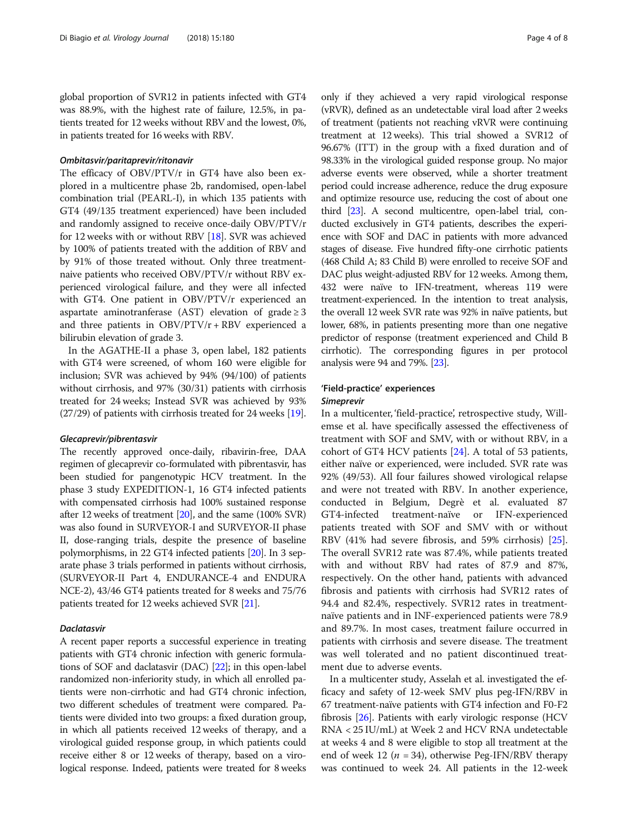global proportion of SVR12 in patients infected with GT4 was 88.9%, with the highest rate of failure, 12.5%, in patients treated for 12 weeks without RBV and the lowest, 0%, in patients treated for 16 weeks with RBV.

#### Ombitasvir/paritaprevir/ritonavir

The efficacy of OBV/PTV/r in GT4 have also been explored in a multicentre phase 2b, randomised, open-label combination trial (PEARL-I), in which 135 patients with GT4 (49/135 treatment experienced) have been included and randomly assigned to receive once-daily OBV/PTV/r for 12 weeks with or without RBV [[18](#page-6-0)]. SVR was achieved by 100% of patients treated with the addition of RBV and by 91% of those treated without. Only three treatmentnaive patients who received OBV/PTV/r without RBV experienced virological failure, and they were all infected with GT4. One patient in OBV/PTV/r experienced an aspartate aminotranferase (AST) elevation of grade  $\geq$  3 and three patients in OBV/PTV/r + RBV experienced a bilirubin elevation of grade 3.

In the AGATHE-II a phase 3, open label, 182 patients with GT4 were screened, of whom 160 were eligible for inclusion; SVR was achieved by 94% (94/100) of patients without cirrhosis, and 97% (30/31) patients with cirrhosis treated for 24 weeks; Instead SVR was achieved by 93% (27/29) of patients with cirrhosis treated for 24 weeks [\[19](#page-6-0)].

#### Glecaprevir/pibrentasvir

The recently approved once-daily, ribavirin-free, DAA regimen of glecaprevir co-formulated with pibrentasvir, has been studied for pangenotypic HCV treatment. In the phase 3 study EXPEDITION-1, 16 GT4 infected patients with compensated cirrhosis had 100% sustained response after 12 weeks of treatment [\[20\]](#page-6-0), and the same (100% SVR) was also found in SURVEYOR-I and SURVEYOR-II phase II, dose-ranging trials, despite the presence of baseline polymorphisms, in 22 GT4 infected patients [[20](#page-6-0)]. In 3 separate phase 3 trials performed in patients without cirrhosis, (SURVEYOR-II Part 4, ENDURANCE-4 and ENDURA NCE-2), 43/46 GT4 patients treated for 8 weeks and 75/76 patients treated for 12 weeks achieved SVR [[21](#page-7-0)].

#### Daclatasvir

A recent paper reports a successful experience in treating patients with GT4 chronic infection with generic formulations of SOF and daclatasvir (DAC) [\[22](#page-7-0)]; in this open-label randomized non-inferiority study, in which all enrolled patients were non-cirrhotic and had GT4 chronic infection, two different schedules of treatment were compared. Patients were divided into two groups: a fixed duration group, in which all patients received 12 weeks of therapy, and a virological guided response group, in which patients could receive either 8 or 12 weeks of therapy, based on a virological response. Indeed, patients were treated for 8 weeks only if they achieved a very rapid virological response (vRVR), defined as an undetectable viral load after 2 weeks of treatment (patients not reaching vRVR were continuing treatment at 12 weeks). This trial showed a SVR12 of 96.67% (ITT) in the group with a fixed duration and of 98.33% in the virological guided response group. No major adverse events were observed, while a shorter treatment period could increase adherence, reduce the drug exposure and optimize resource use, reducing the cost of about one third [\[23\]](#page-7-0). A second multicentre, open-label trial, conducted exclusively in GT4 patients, describes the experience with SOF and DAC in patients with more advanced stages of disease. Five hundred fifty-one cirrhotic patients (468 Child A; 83 Child B) were enrolled to receive SOF and DAC plus weight-adjusted RBV for 12 weeks. Among them, 432 were naïve to IFN-treatment, whereas 119 were treatment-experienced. In the intention to treat analysis, the overall 12 week SVR rate was 92% in naïve patients, but lower, 68%, in patients presenting more than one negative predictor of response (treatment experienced and Child B cirrhotic). The corresponding figures in per protocol analysis were 94 and 79%. [\[23\]](#page-7-0).

# 'Field-practice' experiences

#### Simeprevir

In a multicenter, 'field-practice', retrospective study, Willemse et al. have specifically assessed the effectiveness of treatment with SOF and SMV, with or without RBV, in a cohort of GT4 HCV patients [\[24](#page-7-0)]. A total of 53 patients, either naïve or experienced, were included. SVR rate was 92% (49/53). All four failures showed virological relapse and were not treated with RBV. In another experience, conducted in Belgium, Degrè et al. evaluated 87 GT4-infected treatment-naïve or IFN-experienced patients treated with SOF and SMV with or without RBV (41% had severe fibrosis, and 59% cirrhosis) [\[25](#page-7-0)]. The overall SVR12 rate was 87.4%, while patients treated with and without RBV had rates of 87.9 and 87%, respectively. On the other hand, patients with advanced fibrosis and patients with cirrhosis had SVR12 rates of 94.4 and 82.4%, respectively. SVR12 rates in treatmentnaïve patients and in INF-experienced patients were 78.9 and 89.7%. In most cases, treatment failure occurred in patients with cirrhosis and severe disease. The treatment was well tolerated and no patient discontinued treatment due to adverse events.

In a multicenter study, Asselah et al. investigated the efficacy and safety of 12-week SMV plus peg-IFN/RBV in 67 treatment-naïve patients with GT4 infection and F0-F2 fibrosis [\[26\]](#page-7-0). Patients with early virologic response (HCV RNA < 25 IU/mL) at Week 2 and HCV RNA undetectable at weeks 4 and 8 were eligible to stop all treatment at the end of week 12 ( $n = 34$ ), otherwise Peg-IFN/RBV therapy was continued to week 24. All patients in the 12-week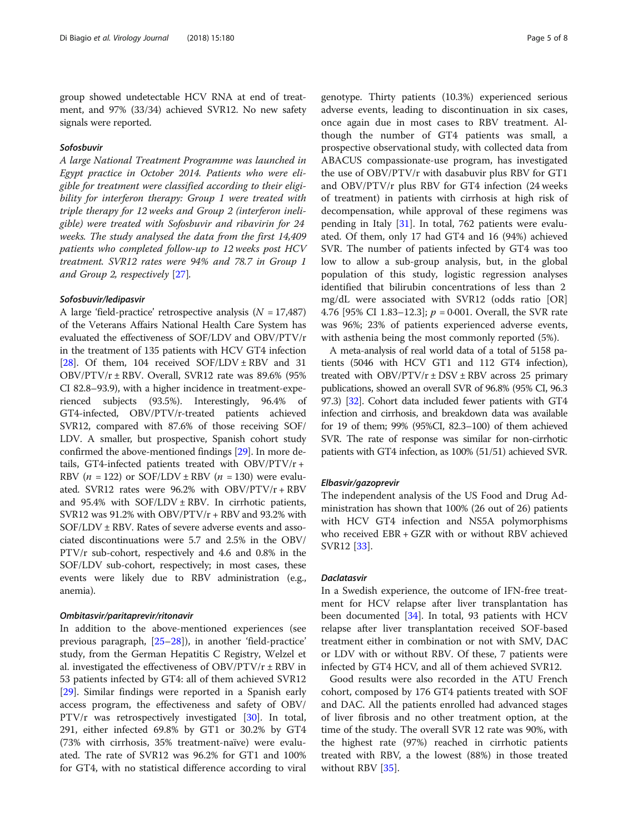group showed undetectable HCV RNA at end of treatment, and 97% (33/34) achieved SVR12. No new safety signals were reported.

#### Sofosbuvir

A large National Treatment Programme was launched in Egypt practice in October 2014. Patients who were eligible for treatment were classified according to their eligibility for interferon therapy: Group 1 were treated with triple therapy for 12 weeks and Group 2 (interferon ineligible) were treated with Sofosbuvir and ribavirin for 24 weeks. The study analysed the data from the first 14,409 patients who completed follow-up to 12 weeks post HCV treatment. SVR12 rates were 94% and 78.7 in Group 1 and Group 2, respectively [\[27](#page-7-0)].

#### Sofosbuvir/ledipasvir

A large 'field-practice' retrospective analysis  $(N = 17,487)$ of the Veterans Affairs National Health Care System has evaluated the effectiveness of SOF/LDV and OBV/PTV/r in the treatment of 135 patients with HCV GT4 infection [[28](#page-7-0)]. Of them, 104 received  $SOF/LDV \pm RBV$  and 31 OBV/PTV/r ± RBV. Overall, SVR12 rate was 89.6% (95% CI 82.8–93.9), with a higher incidence in treatment-experienced subjects (93.5%). Interestingly, 96.4% of GT4-infected, OBV/PTV/r-treated patients achieved SVR12, compared with 87.6% of those receiving SOF/ LDV. A smaller, but prospective, Spanish cohort study confirmed the above-mentioned findings [\[29\]](#page-7-0). In more details, GT4-infected patients treated with OBV/PTV/r + RBV ( $n = 122$ ) or SOF/LDV ± RBV ( $n = 130$ ) were evaluated. SVR12 rates were 96.2% with OBV/PTV/r + RBV and 95.4% with  $SOF/LDV \pm RBV$ . In cirrhotic patients, SVR12 was  $91.2\%$  with OBV/PTV/r + RBV and  $93.2\%$  with SOF/LDV ± RBV. Rates of severe adverse events and associated discontinuations were 5.7 and 2.5% in the OBV/ PTV/r sub-cohort, respectively and 4.6 and 0.8% in the SOF/LDV sub-cohort, respectively; in most cases, these events were likely due to RBV administration (e.g., anemia).

#### Ombitasvir/paritaprevir/ritonavir

In addition to the above-mentioned experiences (see previous paragraph, [\[25](#page-7-0)–[28](#page-7-0)]), in another 'field-practice' study, from the German Hepatitis C Registry, Welzel et al. investigated the effectiveness of OBV/PTV/ $r \pm RBV$  in 53 patients infected by GT4: all of them achieved SVR12 [[29\]](#page-7-0). Similar findings were reported in a Spanish early access program, the effectiveness and safety of OBV/ PTV/r was retrospectively investigated [[30\]](#page-7-0). In total, 291, either infected 69.8% by GT1 or 30.2% by GT4 (73% with cirrhosis, 35% treatment-naïve) were evaluated. The rate of SVR12 was 96.2% for GT1 and 100% for GT4, with no statistical difference according to viral genotype. Thirty patients (10.3%) experienced serious adverse events, leading to discontinuation in six cases, once again due in most cases to RBV treatment. Although the number of GT4 patients was small, a prospective observational study, with collected data from ABACUS compassionate-use program, has investigated the use of OBV/PTV/r with dasabuvir plus RBV for GT1 and OBV/PTV/r plus RBV for GT4 infection (24 weeks of treatment) in patients with cirrhosis at high risk of decompensation, while approval of these regimens was pending in Italy [[31\]](#page-7-0). In total, 762 patients were evaluated. Of them, only 17 had GT4 and 16 (94%) achieved SVR. The number of patients infected by GT4 was too low to allow a sub-group analysis, but, in the global population of this study, logistic regression analyses identified that bilirubin concentrations of less than 2 mg/dL were associated with SVR12 (odds ratio [OR] 4.76 [95% CI 1.83–12.3];  $p = 0.001$ . Overall, the SVR rate was 96%; 23% of patients experienced adverse events, with asthenia being the most commonly reported (5%).

A meta-analysis of real world data of a total of 5158 patients (5046 with HCV GT1 and 112 GT4 infection), treated with OBV/PTV/ $r \pm$ DSV  $\pm$ RBV across 25 primary publications, showed an overall SVR of 96.8% (95% CI, 96.3 97.3) [[32](#page-7-0)]. Cohort data included fewer patients with GT4 infection and cirrhosis, and breakdown data was available for 19 of them; 99% (95%CI, 82.3–100) of them achieved SVR. The rate of response was similar for non-cirrhotic patients with GT4 infection, as 100% (51/51) achieved SVR.

#### Elbasvir/gazoprevir

The independent analysis of the US Food and Drug Administration has shown that 100% (26 out of 26) patients with HCV GT4 infection and NS5A polymorphisms who received EBR + GZR with or without RBV achieved SVR12 [\[33](#page-7-0)].

#### Daclatasvir

In a Swedish experience, the outcome of IFN-free treatment for HCV relapse after liver transplantation has been documented [[34\]](#page-7-0). In total, 93 patients with HCV relapse after liver transplantation received SOF-based treatment either in combination or not with SMV, DAC or LDV with or without RBV. Of these, 7 patients were infected by GT4 HCV, and all of them achieved SVR12.

Good results were also recorded in the ATU French cohort, composed by 176 GT4 patients treated with SOF and DAC. All the patients enrolled had advanced stages of liver fibrosis and no other treatment option, at the time of the study. The overall SVR 12 rate was 90%, with the highest rate (97%) reached in cirrhotic patients treated with RBV, a the lowest (88%) in those treated without RBV [[35\]](#page-7-0).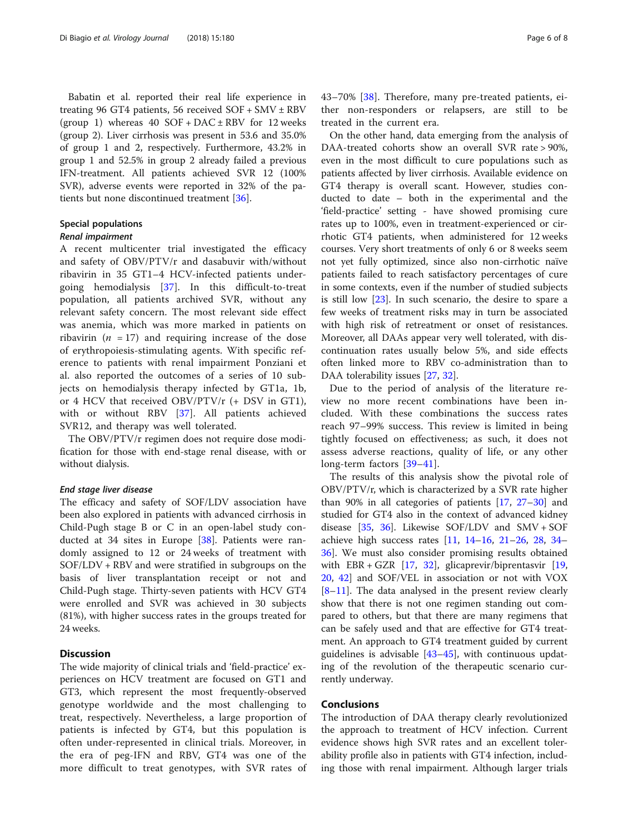Babatin et al. reported their real life experience in treating 96 GT4 patients, 56 received  $SOF + SMV \pm RBV$ (group 1) whereas  $40$  SOF + DAC  $\pm$  RBV for 12 weeks (group 2). Liver cirrhosis was present in 53.6 and 35.0% of group 1 and 2, respectively. Furthermore, 43.2% in group 1 and 52.5% in group 2 already failed a previous IFN-treatment. All patients achieved SVR 12 (100% SVR), adverse events were reported in 32% of the patients but none discontinued treatment [[36](#page-7-0)].

### Special populations

#### Renal impairment

A recent multicenter trial investigated the efficacy and safety of OBV/PTV/r and dasabuvir with/without ribavirin in 35 GT1–4 HCV-infected patients undergoing hemodialysis [\[37](#page-7-0)]. In this difficult-to-treat population, all patients archived SVR, without any relevant safety concern. The most relevant side effect was anemia, which was more marked in patients on ribavirin ( $n = 17$ ) and requiring increase of the dose of erythropoiesis-stimulating agents. With specific reference to patients with renal impairment Ponziani et al. also reported the outcomes of a series of 10 subjects on hemodialysis therapy infected by GT1a, 1b, or 4 HCV that received OBV/PTV/r (+ DSV in GT1), with or without RBV [[37](#page-7-0)]. All patients achieved SVR12, and therapy was well tolerated.

The OBV/PTV/r regimen does not require dose modification for those with end-stage renal disease, with or without dialysis.

#### End stage liver disease

The efficacy and safety of SOF/LDV association have been also explored in patients with advanced cirrhosis in Child-Pugh stage B or C in an open-label study conducted at 34 sites in Europe [[38\]](#page-7-0). Patients were randomly assigned to 12 or 24 weeks of treatment with SOF/LDV + RBV and were stratified in subgroups on the basis of liver transplantation receipt or not and Child-Pugh stage. Thirty-seven patients with HCV GT4 were enrolled and SVR was achieved in 30 subjects (81%), with higher success rates in the groups treated for 24 weeks.

#### **Discussion**

The wide majority of clinical trials and 'field-practice' experiences on HCV treatment are focused on GT1 and GT3, which represent the most frequently-observed genotype worldwide and the most challenging to treat, respectively. Nevertheless, a large proportion of patients is infected by GT4, but this population is often under-represented in clinical trials. Moreover, in the era of peg-IFN and RBV, GT4 was one of the more difficult to treat genotypes, with SVR rates of 43–70% [[38\]](#page-7-0). Therefore, many pre-treated patients, either non-responders or relapsers, are still to be treated in the current era.

On the other hand, data emerging from the analysis of DAA-treated cohorts show an overall SVR rate > 90%, even in the most difficult to cure populations such as patients affected by liver cirrhosis. Available evidence on GT4 therapy is overall scant. However, studies conducted to date – both in the experimental and the 'field-practice' setting - have showed promising cure rates up to 100%, even in treatment-experienced or cirrhotic GT4 patients, when administered for 12 weeks courses. Very short treatments of only 6 or 8 weeks seem not yet fully optimized, since also non-cirrhotic naïve patients failed to reach satisfactory percentages of cure in some contexts, even if the number of studied subjects is still low [[23\]](#page-7-0). In such scenario, the desire to spare a few weeks of treatment risks may in turn be associated with high risk of retreatment or onset of resistances. Moreover, all DAAs appear very well tolerated, with discontinuation rates usually below 5%, and side effects often linked more to RBV co-administration than to DAA tolerability issues [[27,](#page-7-0) [32\]](#page-7-0).

Due to the period of analysis of the literature review no more recent combinations have been included. With these combinations the success rates reach 97–99% success. This review is limited in being tightly focused on effectiveness; as such, it does not assess adverse reactions, quality of life, or any other long-term factors [\[39](#page-7-0)–[41](#page-7-0)].

The results of this analysis show the pivotal role of OBV/PTV/r, which is characterized by a SVR rate higher than 90% in all categories of patients [[17](#page-6-0), [27](#page-7-0)–[30\]](#page-7-0) and studied for GT4 also in the context of advanced kidney disease [[35](#page-7-0), [36](#page-7-0)]. Likewise SOF/LDV and SMV + SOF achieve high success rates [\[11](#page-6-0), [14](#page-6-0)–[16,](#page-6-0) [21](#page-7-0)–[26](#page-7-0), [28,](#page-7-0) [34](#page-7-0)– [36\]](#page-7-0). We must also consider promising results obtained with  $EBR + GZR$  [[17,](#page-6-0) [32\]](#page-7-0), glicaprevir/biprentasvir [[19](#page-6-0), [20,](#page-6-0) [42](#page-7-0)] and SOF/VEL in association or not with VOX [[8](#page-6-0)–[11\]](#page-6-0). The data analysed in the present review clearly show that there is not one regimen standing out compared to others, but that there are many regimens that can be safely used and that are effective for GT4 treatment. An approach to GT4 treatment guided by current guidelines is advisable [[43](#page-7-0)–[45](#page-7-0)], with continuous updating of the revolution of the therapeutic scenario currently underway.

#### Conclusions

The introduction of DAA therapy clearly revolutionized the approach to treatment of HCV infection. Current evidence shows high SVR rates and an excellent tolerability profile also in patients with GT4 infection, including those with renal impairment. Although larger trials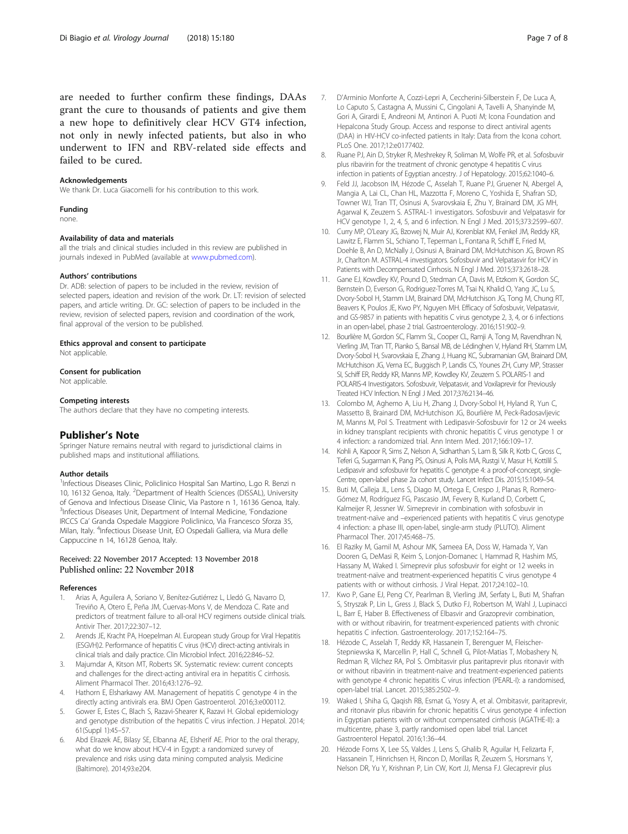<span id="page-6-0"></span>are needed to further confirm these findings, DAAs grant the cure to thousands of patients and give them a new hope to definitively clear HCV GT4 infection, not only in newly infected patients, but also in who underwent to IFN and RBV-related side effects and failed to be cured.

#### Acknowledgements

We thank Dr. Luca Giacomelli for his contribution to this work.

#### Funding

none.

#### Availability of data and materials

all the trials and clinical studies included in this review are published in journals indexed in PubMed (available at [www.pubmed.com\)](http://www.pubmed.com).

#### Authors' contributions

Dr. ADB: selection of papers to be included in the review, revision of selected papers, ideation and revision of the work. Dr. LT: revision of selected papers, and article writing. Dr. GC: selection of papers to be included in the review, revision of selected papers, revision and coordination of the work, final approval of the version to be published.

#### Ethics approval and consent to participate

Not applicable.

#### Consent for publication

Not applicable.

#### Competing interests

The authors declare that they have no competing interests.

#### Publisher's Note

Springer Nature remains neutral with regard to jurisdictional claims in published maps and institutional affiliations.

#### Author details

<sup>1</sup>Infectious Diseases Clinic, Policlinico Hospital San Martino, L.go R. Benzi n 10, 16132 Genoa, Italy. <sup>2</sup>Department of Health Sciences (DISSAL), University of Genova and Infectious Disease Clinic, Via Pastore n 1, 16136 Genoa, Italy. <sup>3</sup>Infectious Diseases Unit, Department of Internal Medicine, 'Fondazione IRCCS Ca' Granda Ospedale Maggiore Policlinico, Via Francesco Sforza 35, Milan, Italy. <sup>4</sup>Infectious Disease Unit, EO Ospedali Galliera, via Mura delle Cappuccine n 14, 16128 Genoa, Italy.

#### Received: 22 November 2017 Accepted: 13 November 2018 Published online: 22 November 2018

#### References

- Arias A, Aguilera A, Soriano V, Benítez-Gutiérrez L, Lledó G, Navarro D, Treviño A, Otero E, Peña JM, Cuervas-Mons V, de Mendoza C. Rate and predictors of treatment failure to all-oral HCV regimens outside clinical trials. Antivir Ther. 2017;22:307–12.
- 2. Arends JE, Kracht PA, Hoepelman AI. European study Group for Viral Hepatitis (ESGVH)2. Performance of hepatitis C virus (HCV) direct-acting antivirals in clinical trials and daily practice. Clin Microbiol Infect. 2016;22:846–52.
- Majumdar A, Kitson MT, Roberts SK. Systematic review: current concepts and challenges for the direct-acting antiviral era in hepatitis C cirrhosis. Aliment Pharmacol Ther. 2016;43:1276–92.
- 4. Hathorn E, Elsharkawy AM. Management of hepatitis C genotype 4 in the directly acting antivirals era. BMJ Open Gastroenterol. 2016;3:e000112.
- 5. Gower E, Estes C, Blach S, Razavi-Shearer K, Razavi H. Global epidemiology and genotype distribution of the hepatitis C virus infection. J Hepatol. 2014; 61(Suppl 1):45–57.
- Abd Elrazek AE, Bilasy SE, Elbanna AE, Elsherif AE. Prior to the oral therapy, what do we know about HCV-4 in Egypt: a randomized survey of prevalence and risks using data mining computed analysis. Medicine (Baltimore). 2014;93:e204.
- 8. Ruane PJ, Ain D, Stryker R, Meshrekey R, Soliman M, Wolfe PR, et al. Sofosbuvir plus ribavirin for the treatment of chronic genotype 4 hepatitis C virus infection in patients of Egyptian ancestry. J of Hepatology. 2015;62:1040–6.
- 9. Feld JJ, Jacobson IM, Hézode C, Asselah T, Ruane PJ, Gruener N, Abergel A, Mangia A, Lai CL, Chan HL, Mazzotta F, Moreno C, Yoshida E, Shafran SD, Towner WJ, Tran TT, Osinusi A, Svarovskaia E, Zhu Y, Brainard DM, JG MH, Agarwal K, Zeuzem S. ASTRAL-1 investigators. Sofosbuvir and Velpatasvir for HCV genotype 1, 2, 4, 5, and 6 infection. N Engl J Med. 2015;373:2599–607.
- 10. Curry MP, O'Leary JG, Bzowej N, Muir AJ, Korenblat KM, Fenkel JM, Reddy KR, Lawitz E, Flamm SL, Schiano T, Teperman L, Fontana R, Schiff E, Fried M, Doehle B, An D, McNally J, Osinusi A, Brainard DM, McHutchison JG, Brown RS Jr, Charlton M. ASTRAL-4 investigators. Sofosbuvir and Velpatasvir for HCV in Patients with Decompensated Cirrhosis. N Engl J Med. 2015;373:2618–28.
- 11. Gane EJ, Kowdley KV, Pound D, Stedman CA, Davis M, Etzkorn K, Gordon SC, Bernstein D, Everson G, Rodriguez-Torres M, Tsai N, Khalid O, Yang JC, Lu S, Dvory-Sobol H, Stamm LM, Brainard DM, McHutchison JG, Tong M, Chung RT, Beavers K, Poulos JE, Kwo PY, Nguyen MH. Efficacy of Sofosbuvir, Velpatasvir, and GS-9857 in patients with hepatitis C virus genotype 2, 3, 4, or 6 infections in an open-label, phase 2 trial. Gastroenterology. 2016;151:902–9.
- 12. Bourlière M, Gordon SC, Flamm SL, Cooper CL, Ramji A, Tong M, Ravendhran N, Vierling JM, Tran TT, Pianko S, Bansal MB, de Lédinghen V, Hyland RH, Stamm LM, Dvory-Sobol H, Svarovskaia E, Zhang J, Huang KC, Subramanian GM, Brainard DM, McHutchison JG, Verna EC, Buggisch P, Landis CS, Younes ZH, Curry MP, Strasser SI, Schiff ER, Reddy KR, Manns MP, Kowdley KV, Zeuzem S. POLARIS-1 and POLARIS-4 Investigators. Sofosbuvir, Velpatasvir, and Voxilaprevir for Previously Treated HCV Infection. N Engl J Med. 2017;376:2134–46.
- 13. Colombo M, Aghemo A, Liu H, Zhang J, Dvory-Sobol H, Hyland R, Yun C, Massetto B, Brainard DM, McHutchison JG, Bourlière M, Peck-Radosavljevic M, Manns M, Pol S. Treatment with Ledipasvir-Sofosbuvir for 12 or 24 weeks in kidney transplant recipients with chronic hepatitis C virus genotype 1 or 4 infection: a randomized trial. Ann Intern Med. 2017;166:109–17.
- 14. Kohli A, Kapoor R, Sims Z, Nelson A, Sidharthan S, Lam B, Silk R, Kotb C, Gross C, Teferi G, Sugarman K, Pang PS, Osinusi A, Polis MA, Rustgi V, Masur H, Kottilil S. Ledipasvir and sofosbuvir for hepatitis C genotype 4: a proof-of-concept, single-Centre, open-label phase 2a cohort study. Lancet Infect Dis. 2015;15:1049–54.
- 15. Buti M, Calleja JL, Lens S, Diago M, Ortega E, Crespo J, Planas R, Romero-Gómez M, Rodríguez FG, Pascasio JM, Fevery B, Kurland D, Corbett C, Kalmeijer R, Jessner W. Simeprevir in combination with sofosbuvir in treatment-naïve and –experienced patients with hepatitis C virus genotype 4 infection: a phase III, open-label, single-arm study (PLUTO). Aliment Pharmacol Ther. 2017;45:468–75.
- 16. El Raziky M, Gamil M, Ashour MK, Sameea EA, Doss W, Hamada Y, Van Dooren G, DeMasi R, Keim S, Lonjon-Domanec I, Hammad R, Hashim MS, Hassany M, Waked I. Simeprevir plus sofosbuvir for eight or 12 weeks in treatment-naïve and treatment-experienced hepatitis C virus genotype 4 patients with or without cirrhosis. J Viral Hepat. 2017;24:102–10.
- 17. Kwo P, Gane EJ, Peng CY, Pearlman B, Vierling JM, Serfaty L, Buti M, Shafran S, Stryszak P, Lin L, Gress J, Black S, Dutko FJ, Robertson M, Wahl J, Lupinacci L, Barr E, Haber B. Effectiveness of Elbasvir and Grazoprevir combination, with or without ribavirin, for treatment-experienced patients with chronic hepatitis C infection. Gastroenterology. 2017;152:164–75.
- 18. Hézode C, Asselah T, Reddy KR, Hassanein T, Berenguer M, Fleischer-Stepniewska K, Marcellin P, Hall C, Schnell G, Pilot-Matias T, Mobashery N, Redman R, Vilchez RA, Pol S. Ombitasvir plus paritaprevir plus ritonavir with or without ribavirin in treatment-naive and treatment-experienced patients with genotype 4 chronic hepatitis C virus infection (PEARL-I): a randomised, open-label trial. Lancet. 2015;385:2502–9.
- 19. Waked I, Shiha G, Qaqish RB, Esmat G, Yosry A, et al. Ombitasvir, paritaprevir, and ritonavir plus ribavirin for chronic hepatitis C virus genotype 4 infection in Egyptian patients with or without compensated cirrhosis (AGATHE-II): a multicentre, phase 3, partly randomised open label trial. Lancet Gastroenterol Hepatol. 2016;1:36–44.
- 20. Hézode Forns X, Lee SS, Valdes J, Lens S, Ghalib R, Aguilar H, Felizarta F, Hassanein T, Hinrichsen H, Rincon D, Morillas R, Zeuzem S, Horsmans Y, Nelson DR, Yu Y, Krishnan P, Lin CW, Kort JJ, Mensa FJ. Glecaprevir plus